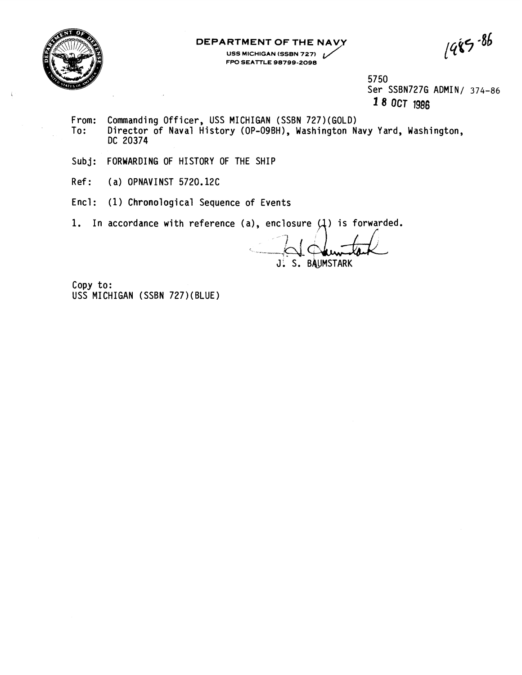

**DEPARTMENT OF THE NAVY RTMENT OF THE NAVY**<br>USS MICHIGAN (SSBN 727)<br>FPO SEATTLE 98799-2098 **FPO SEATTLE 98799-2098** 

 $1485 - 86$ 

57 50 Ser SSBN727G ADMIN/ 374-86 **18 OCT 1988** 

- From: Commanding Officer, USS MICHIGAN (SSBN 727)(GOLD)<br>To: Director of Naval History (OP-O9BH), Washington N Director of Naval History (OP-09BH), Washington Navy Yard, Washington, DC 20374
- Subj: FORWARDING OF HISTORY OF THE SHIP
- Ref: (a) OPNAVINST 5720.12C
- Encl: (1) Chronological Sequence of Events

1. In accordance with reference (a), enclosure  $(1)$  is forwarded.

J. S. BAUMSTARK

Copy to: USS MICHIGAN (SSBN 727)(BLUE)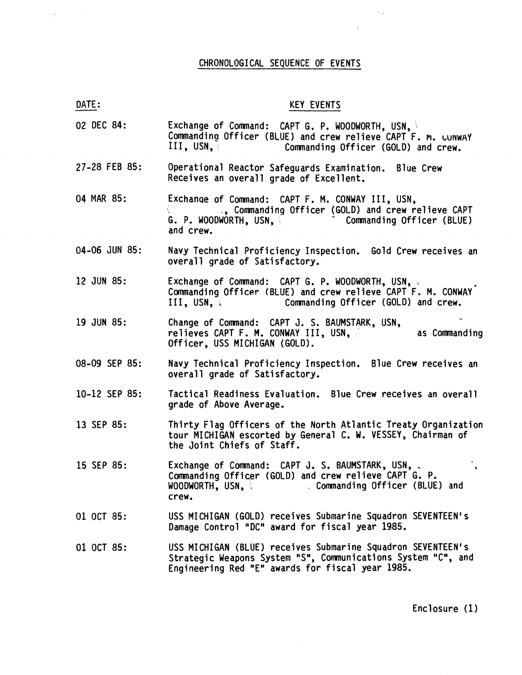## CHRONOLOGICAL SEQUENCE OF EVENTS

 $\label{eq:2.1} \begin{array}{l} \mathbf{y} \\ \mathbf{y} \\ \mathbf{z} \end{array} \quad , \quad \begin{array}{l} \mathbf{y} \\ \mathbf{y} \\ \mathbf{z} \end{array}$ 

| <b>KEY</b> | <b>EVENTS</b> |  |
|------------|---------------|--|
|            |               |  |

 $\mathcal{L}^{\text{max}}_{\text{max}}$ 

 $\frac{1}{2}$  ,  $\frac{1}{2}$  ,  $\frac{1}{2}$ 

| DATE:         | <b>KEY EVENTS</b>                                                                                                                                                                     |
|---------------|---------------------------------------------------------------------------------------------------------------------------------------------------------------------------------------|
| 02 DEC 84:    | Exchange of Command: CAPT G. P. WOODWORTH, USN,<br>Commanding Officer (BLUE) and crew relieve CAPT F. M. LUNWAY<br>III, USN.<br>Commanding Officer (GOLD) and crew.                   |
| 27-28 FEB 85: | Operational Reactor Safeguards Examination. Blue Crew<br>Receives an overall grade of Excellent.                                                                                      |
| 04 MAR 85:    | Exchange of Command: CAPT F. M. CONWAY III, USN,<br>., Commanding Officer (GOLD) and crew relieve CAPT<br>Commanding Officer (BLUE)<br>G. P. WOODWORTH, USN,<br>and crew.             |
| 04-06 JUN 85: | Navy Technical Proficiency Inspection. Gold Crew receives an<br>overall grade of Satisfactory.                                                                                        |
| 12 JUN 85:    | Exchange of Command: CAPT G. P. WOODWORTH, USN,<br>Commanding Officer (BLUE) and crew relieve CAPT F. M. CONWAY<br>Commanding Officer (GOLD) and crew.<br>III, USN, V                 |
| 19 JUN 85:    | Change of Command: CAPT J. S. BAUMSTARK, USN, relieves CAPT F. M. CONWAY III, USN,<br>as Commanding<br>Officer, USS MICHIGAN (GOLD).                                                  |
| 08-09 SEP 85: | Navy Technical Proficiency Inspection. Blue Crew receives an<br>overall grade of Satisfactory.                                                                                        |
| 10-12 SEP 85: | Tactical Readiness Evaluation. Blue Crew receives an overall<br>grade of Above Average.                                                                                               |
| 13 SEP 85:    | Thirty Flag Officers of the North Atlantic Treaty Organization<br>tour MICHIGAN escorted by General C. W. VESSEY, Chairman of<br>the Joint Chiefs of Staff.                           |
| 15 SEP 85:    | Exchange of Command: CAPT J. S. BAUMSTARK, USN,<br>$\mathbf{v}$<br>Commanding Officer (GOLD) and crew relieve CAPT G. P.<br>Commanding Officer (BLUE) and<br>WOODWORTH, USN,<br>crew. |
| 01 OCT 85:    | USS MICHIGAN (GOLD) receives Submarine Squadron SEVENTEEN's<br>Damage Control "DC" award for fiscal year 1985.                                                                        |
| 01 OCT 85:    | USS MICHIGAN (BLUE) receives Submarine Squadron SEVENTEEN's<br>Strategic Weapons System "S", Communications System "C", and<br>Engineering Red "E" awards for fiscal year 1985.       |

Enclosure **(1**